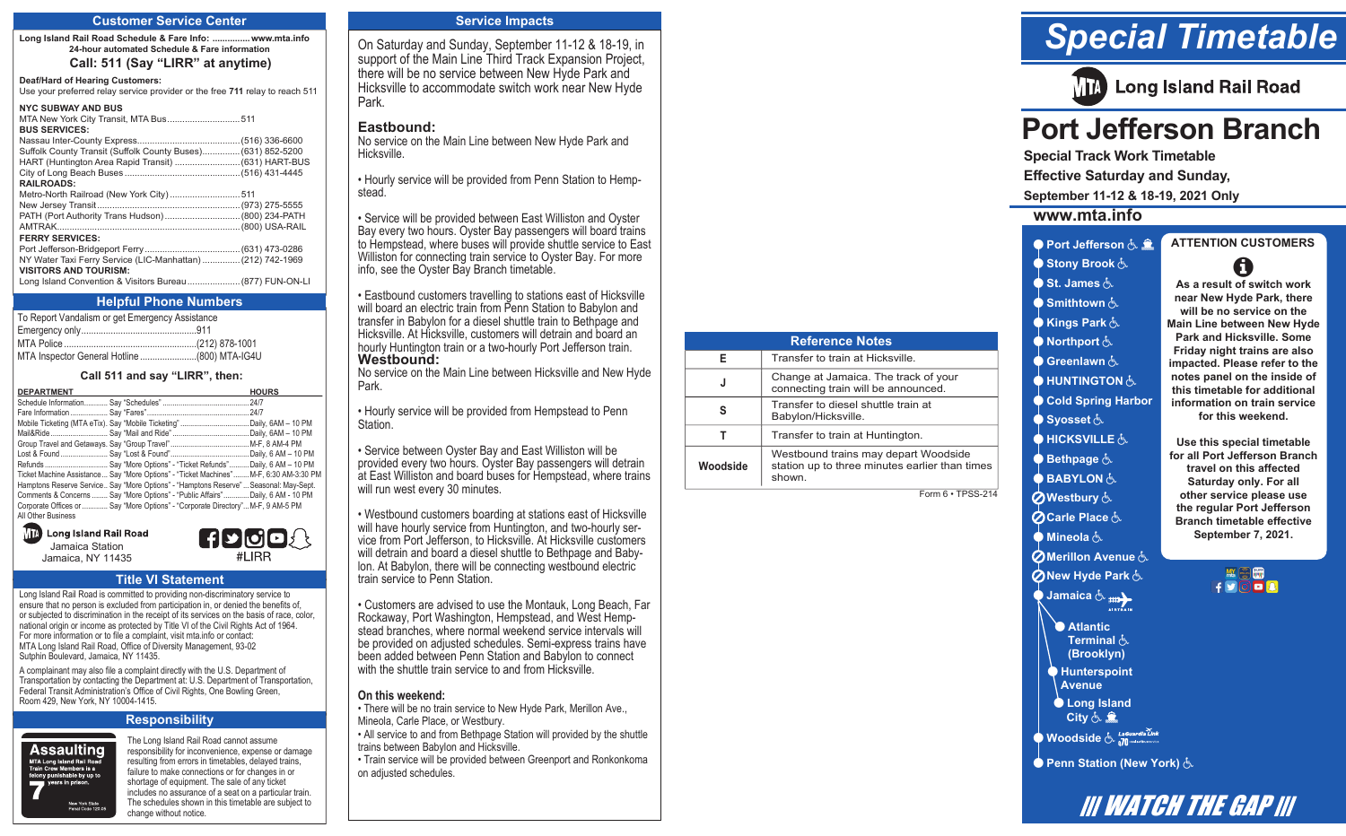#### **Customer Service Center**

**Long Island Rail Road Schedule & Fare Info: ...............www.mta.info 24-hour automated Schedule & Fare information Call: 511 (Say "LIRR" at anytime)**

#### **Deaf/Hard of Hearing Customers:**

Use your preferred relay service provider or the free **711** relay to reach 511

#### **NYC SUBWAY AND BUS**

| NIL SUBWAT AND BUS                                           |  |
|--------------------------------------------------------------|--|
|                                                              |  |
| <b>BUS SERVICES:</b>                                         |  |
|                                                              |  |
| Suffolk County Transit (Suffolk County Buses) (631) 852-5200 |  |
| HART (Huntington Area Rapid Transit)  (631) HART-BUS         |  |
|                                                              |  |
| <b>RAILROADS:</b>                                            |  |
| Metro-North Railroad (New York City)511                      |  |
|                                                              |  |
| PATH (Port Authority Trans Hudson) (800) 234-PATH            |  |
|                                                              |  |
| <b>FERRY SERVICES:</b>                                       |  |
|                                                              |  |
| NY Water Taxi Ferry Service (LIC-Manhattan)  (212) 742-1969  |  |
| <b>VISITORS AND TOURISM:</b>                                 |  |
| Long Island Convention & Visitors Bureau (877) FUN-ON-LI     |  |

#### **Helpful Phone Numbers**

To Report Vandalism or get Emergency Assistance Emergency only...............................................911  $(212)$  878-1001 MTA Inspector General Hotline .......................(800) MTA-IG4U

#### **Call 511 and say "LIRR", then:**

| <b>DEPARTMENT</b>                                                                       | <b>HOURS</b> |
|-----------------------------------------------------------------------------------------|--------------|
|                                                                                         |              |
|                                                                                         |              |
|                                                                                         |              |
|                                                                                         |              |
|                                                                                         |              |
|                                                                                         |              |
| Refunds  Say "More Options" - "Ticket Refunds"  Daily, 6 AM - 10 PM                     |              |
| Ticket Machine Assistance  Say "More Options" - "Ticket Machines"  M-F, 6:30 AM-3:30 PM |              |
| Hamptons Reserve Service Say "More Options" - "Hamptons Reserve"  Seasonal: May-Sept.   |              |
| Comments & Concerns  Say "More Options" - "Public Affairs" Daily, 6 AM - 10 PM          |              |
| Corporate Offices or  Say "More Options" - "Corporate Directory" M-F, 9 AM-5 PM         |              |
| All Other Business                                                                      |              |

**In Long Island Rail Road** Jamaica Station Jamaica, NY 11435

#### **Title VI Statement**

Long Island Rail Road is committed to providing non-discriminatory service to ensure that no person is excluded from participation in, or denied the benefits of, or subjected to discrimination in the receipt of its services on the basis of race, color, national origin or income as protected by Title VI of the Civil Rights Act of 1964. For more information or to file a complaint, visit mta.info or contact: MTA Long Island Rail Road, Office of Diversity Management, 93-02 Sutphin Boulevard, Jamaica, NY 11435.

A complainant may also file a complaint directly with the U.S. Department of Transportation by contacting the Department at: U.S. Department of Transportation, Federal Transit Administration's Office of Civil Rights, One Bowling Green, Room 429, New York, NY 10004-1415.

#### **Responsibility**



The Long Island Rail Road cannot assume responsibility for inconvenience, expense or damage resulting from errors in timetables, delayed trains, failure to make connections or for changes in or shortage of equipment. The sale of any ticket includes no assurance of a seat on a particular train. The schedules shown in this timetable are subject to change without notice.

HUOOA #I IRR

#### **Service Impacts**

On Saturday and Sunday, September 11-12 & 18-19, in support of the Main Line Third Track Expansion Project, there will be no service between New Hyde Park and Hicksville to accommodate switch work near New Hyde Park.

#### **Eastbound:**

No service on the Main Line between New Hyde Park and Hicksville.

• Hourly service will be provided from Penn Station to Hempstead.

• Service will be provided between East Williston and Oyster Bay every two hours. Oyster Bay passengers will board trains to Hempstead, where buses will provide shuttle service to East Williston for connecting train service to Oyster Bay. For more info, see the Oyster Bay Branch timetable.

• Eastbound customers travelling to stations east of Hicksville will board an electric train from Penn Station to Babylon and transfer in Babylon for a diesel shuttle train to Bethpage and Hicksville. At Hicksville, customers will detrain and board an hourly Huntington train or a two-hourly Port Jefferson train. **Westbound:** 

**PJ, Branch TT Notes** 

**Woodside**

**E** Transfer to train at Hicksville.

**S** Transfer to diesel shuttle train at Babylon/Hicksville. **T T** Transfer to train at Huntington.

shown.

**J** Change at Jamaica. The track of your connecting train will be announced.

**Reference Notes**

Westbound trains may depart Woodside station up to three minutes earlier than times

Form 6 • TPSS-214

No service on the Main Line between Hicksville and New Hyde Park.

• Hourly service will be provided from Hempstead to Penn Station.

• Service between Oyster Bay and East Williston will be provided every two hours. Oyster Bay passengers will detrain at East Williston and board buses for Hempstead, where trains will run west every 30 minutes.

• Westbound customers boarding at stations east of Hicksville will have hourly service from Huntington, and two-hourly service from Port Jefferson, to Hicksville. At Hicksville customers will detrain and board a diesel shuttle to Bethpage and Babylon. At Babylon, there will be connecting westbound electric train service to Penn Station.

• Customers are advised to use the Montauk, Long Beach, Far Rockaway, Port Washington, Hempstead, and West Hempstead branches, where normal weekend service intervals will be provided on adjusted schedules. Semi-express trains have been added between Penn Station and Babylon to connect with the shuttle train service to and from Hicksville.

#### **On this weekend:**

- There will be no train service to New Hyde Park, Merillon Ave., Mineola, Carle Place, or Westbury.
- All service to and from Bethpage Station will provided by the shuttle trains between Babylon and Hicksville.
- Train service will be provided between Greenport and Ronkonkoma on adjusted schedules.

# *Special Timetable*



## **Port Jefferson Branch**

**Special Track Work Timetable Effective Saturday and Sunday,** 

**September 11-12 & 18-19, 2021 Only**

#### **www.mta.info**

#### **• Port Jefferson & & Stony Brook ATTENTION CUSTOMERS** 0

**As a result of switch work near New Hyde Park, there will be no service on the Main Line between New Hyde Park and Hicksville. Some Friday night trains are also impacted. Please refer to the notes panel on the inside of this timetable for additional information on train service for this weekend. Use this special timetable for all Port Jefferson Branch travel on this affected Saturday only. For all other service please use the regular Port Jefferson Branch timetable effective September 7, 2021.** 

> **MOU** FOOD

 **St. James Smithtown Kings Park • Northport** &

**Greenlawn • HUNTINGTON** 

 **Cold Spring Harbor**

**Syosset**&

**• HICKSVILLE** 

 **Bethpage** 

**BABYLON** 

 **Westbury OCarle Place** 点

**• Mineola** &

**O** Merillon Avenue &

**ONew Hyde Park &** 



 **Atlantic** 

- **Terminal & (Brooklyn)**
- **Hunterspoint**
- **Avenue**
- **Long Island City & 全**

**Woodside** & LaGuardia Link

**• Penn Station (New York)**  $\stackrel{1}{\leftarrow}$